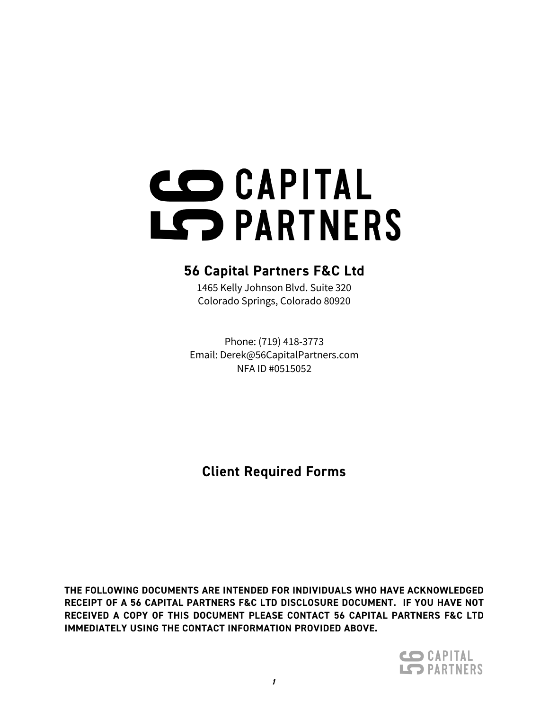# CO CAPITAL LS PARTNERS

# **56 Capital Partners F&C Ltd**

1465 Kelly Johnson Blvd. Suite 320 Colorado Springs, Colorado 80920

Phone: (719) 418-3773 Email: Derek@56CapitalPartners.com NFA ID #0515052

**Client Required Forms**

**THE FOLLOWING DOCUMENTS ARE INTENDED FOR INDIVIDUALS WHO HAVE ACKNOWLEDGED RECEIPT OF A 56 CAPITAL PARTNERS F&C LTD DISCLOSURE DOCUMENT. IF YOU HAVE NOT RECEIVED A COPY OF THIS DOCUMENT PLEASE CONTACT 56 CAPITAL PARTNERS F&C LTD IMMEDIATELY USING THE CONTACT INFORMATION PROVIDED ABOVE.**

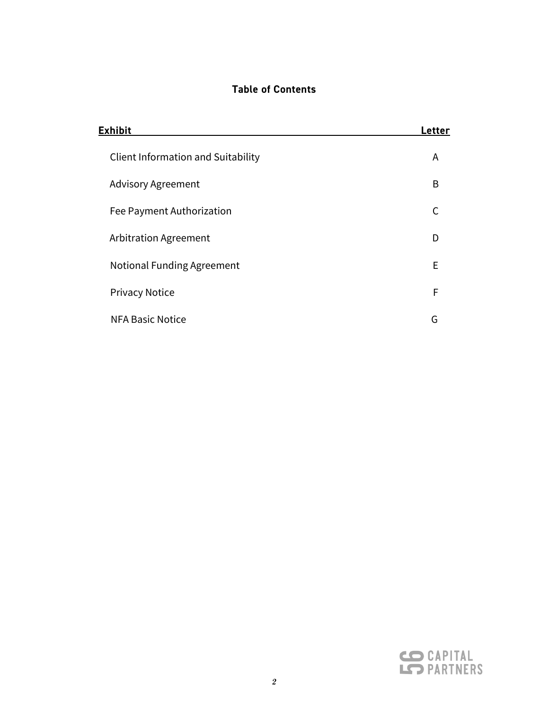# **Table of Contents**

| Exhibit                                   | <b>Letter</b> |
|-------------------------------------------|---------------|
| <b>Client Information and Suitability</b> | A             |
| <b>Advisory Agreement</b>                 | B             |
| Fee Payment Authorization                 |               |
| Arbitration Agreement                     | D             |
| <b>Notional Funding Agreement</b>         | Е             |
| <b>Privacy Notice</b>                     | F             |
| <b>NFA Basic Notice</b>                   | G             |

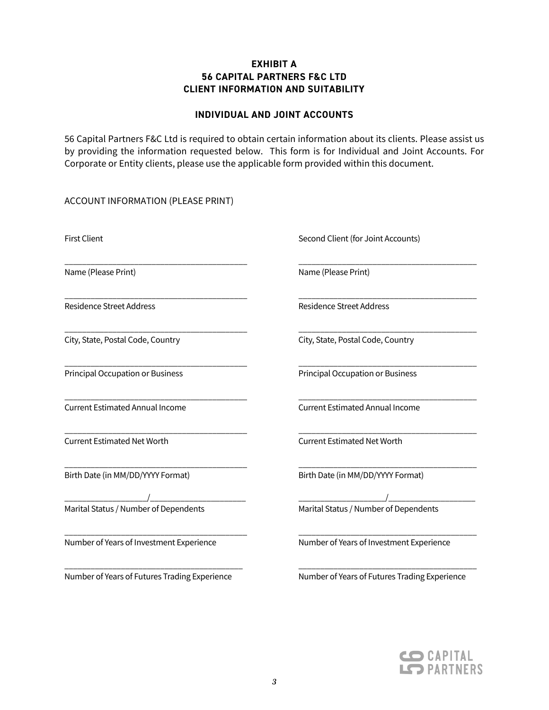# **EXHIBIT A 56 CAPITAL PARTNERS F&C LTD CLIENT INFORMATION AND SUITABILITY**

#### **INDIVIDUAL AND JOINT ACCOUNTS**

56 Capital Partners F&C Ltd is required to obtain certain information about its clients. Please assist us by providing the information requested below. This form is for Individual and Joint Accounts. For Corporate or Entity clients, please use the applicable form provided within this document.

\_\_\_\_\_\_\_\_\_\_\_\_\_\_\_\_\_\_\_\_\_\_\_\_\_\_\_\_\_\_\_\_\_\_\_\_\_\_\_\_\_\_ \_\_\_\_\_\_\_\_\_\_\_\_\_\_\_\_\_\_\_\_\_\_\_\_\_\_\_\_\_\_\_\_\_\_\_\_\_\_\_\_\_

\_\_\_\_\_\_\_\_\_\_\_\_\_\_\_\_\_\_\_\_\_\_\_\_\_\_\_\_\_\_\_\_\_\_\_\_\_\_\_\_\_\_ \_\_\_\_\_\_\_\_\_\_\_\_\_\_\_\_\_\_\_\_\_\_\_\_\_\_\_\_\_\_\_\_\_\_\_\_\_\_\_\_\_

\_\_\_\_\_\_\_\_\_\_\_\_\_\_\_\_\_\_\_\_\_\_\_\_\_\_\_\_\_\_\_\_\_\_\_\_\_\_\_\_\_\_ \_\_\_\_\_\_\_\_\_\_\_\_\_\_\_\_\_\_\_\_\_\_\_\_\_\_\_\_\_\_\_\_\_\_\_\_\_\_\_\_\_

\_\_\_\_\_\_\_\_\_\_\_\_\_\_\_\_\_\_\_\_\_\_\_\_\_\_\_\_\_\_\_\_\_\_\_\_\_\_\_\_\_\_ \_\_\_\_\_\_\_\_\_\_\_\_\_\_\_\_\_\_\_\_\_\_\_\_\_\_\_\_\_\_\_\_\_\_\_\_\_\_\_\_\_

\_\_\_\_\_\_\_\_\_\_\_\_\_\_\_\_\_\_\_\_\_\_\_\_\_\_\_\_\_\_\_\_\_\_\_\_\_\_\_\_\_ \_\_\_\_\_\_\_\_\_\_\_\_\_\_\_\_\_\_\_\_\_\_\_\_\_\_\_\_\_\_\_\_\_\_\_\_\_\_\_\_\_

ACCOUNT INFORMATION (PLEASE PRINT)

\_\_\_\_\_\_\_\_\_\_\_\_\_\_\_\_\_\_\_\_\_\_\_\_\_\_\_\_\_\_\_\_\_\_\_\_\_\_\_\_\_\_ \_\_\_\_\_\_\_\_\_\_\_\_\_\_\_\_\_\_\_\_\_\_\_\_\_\_\_\_\_\_\_\_\_\_\_\_\_\_\_\_\_ Name (Please Print) Name (Please Print)

\_\_\_\_\_\_\_\_\_\_\_\_\_\_\_\_\_\_\_\_\_\_\_\_\_\_\_\_\_\_\_\_\_\_\_\_\_\_\_\_\_\_ \_\_\_\_\_\_\_\_\_\_\_\_\_\_\_\_\_\_\_\_\_\_\_\_\_\_\_\_\_\_\_\_\_\_\_\_\_\_\_\_\_ Current Estimated Net Worth Current Estimated Net Worth

\_\_\_\_\_\_\_\_\_\_\_\_\_\_\_\_\_\_\_/\_\_\_\_\_\_\_\_\_\_\_\_\_\_\_\_\_\_\_\_\_\_ \_\_\_\_\_\_\_\_\_\_\_\_\_\_\_\_\_\_\_\_/\_\_\_\_\_\_\_\_\_\_\_\_\_\_\_\_\_\_\_\_

Number of Years of Investment Experience Number of Years of Investment Experience

First Client **Second Client** (for Joint Accounts)

Residence Street Address and Communications Residence Street Address

City, State, Postal Code, Country City, State, Postal Code, Country

\_\_\_\_\_\_\_\_\_\_\_\_\_\_\_\_\_\_\_\_\_\_\_\_\_\_\_\_\_\_\_\_\_\_\_\_\_\_\_\_\_\_ \_\_\_\_\_\_\_\_\_\_\_\_\_\_\_\_\_\_\_\_\_\_\_\_\_\_\_\_\_\_\_\_\_\_\_\_\_\_\_\_\_ Principal Occupation or Business Principal Occupation or Business

Current Estimated Annual Income Current Estimated Annual Income

\_\_\_\_\_\_\_\_\_\_\_\_\_\_\_\_\_\_\_\_\_\_\_\_\_\_\_\_\_\_\_\_\_\_\_\_\_\_\_\_\_\_ \_\_\_\_\_\_\_\_\_\_\_\_\_\_\_\_\_\_\_\_\_\_\_\_\_\_\_\_\_\_\_\_\_\_\_\_\_\_\_\_\_ Birth Date (in MM/DD/YYYY Format) Birth Date (in MM/DD/YYYY Format)

Marital Status / Number of Dependents Marital Status / Number of Dependents

Number of Years of Futures Trading Experience Number of Years of Futures Trading Experience

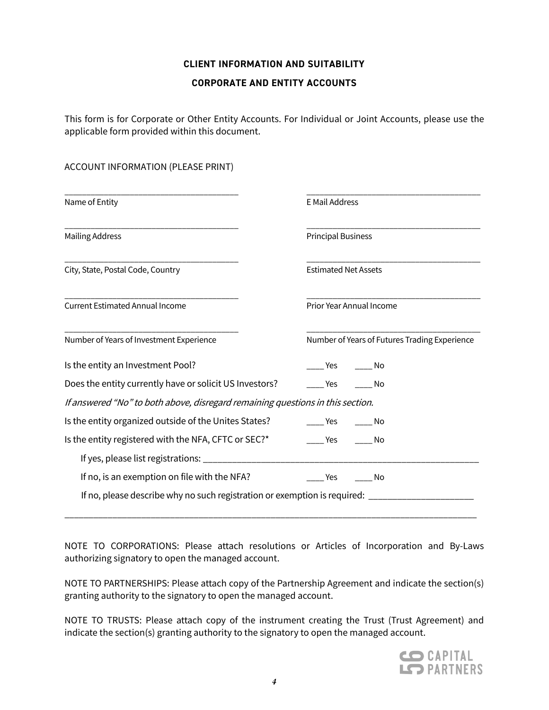# **CLIENT INFORMATION AND SUITABILITY**

#### **CORPORATE AND ENTITY ACCOUNTS**

This form is for Corporate or Other Entity Accounts. For Individual or Joint Accounts, please use the applicable form provided within this document.

#### ACCOUNT INFORMATION (PLEASE PRINT)

| Name of Entity                                                                 | <b>E Mail Address</b>                         |  |  |  |
|--------------------------------------------------------------------------------|-----------------------------------------------|--|--|--|
| <b>Mailing Address</b>                                                         | <b>Principal Business</b>                     |  |  |  |
| City, State, Postal Code, Country                                              | <b>Estimated Net Assets</b>                   |  |  |  |
| <b>Current Estimated Annual Income</b>                                         | Prior Year Annual Income                      |  |  |  |
| Number of Years of Investment Experience                                       | Number of Years of Futures Trading Experience |  |  |  |
| Is the entity an Investment Pool?                                              | Yes<br>- No                                   |  |  |  |
| Does the entity currently have or solicit US Investors?                        | <b>Pres</b><br>No                             |  |  |  |
| If answered "No" to both above, disregard remaining questions in this section. |                                               |  |  |  |
| Is the entity organized outside of the Unites States?                          | Yes<br>a No                                   |  |  |  |
| Is the entity registered with the NFA, CFTC or SEC?*                           | Yes<br>- No                                   |  |  |  |
|                                                                                |                                               |  |  |  |
| If no, is an exemption on file with the NFA?                                   | Yes<br>No                                     |  |  |  |
| If no, please describe why no such registration or exemption is required: ____ |                                               |  |  |  |

NOTE TO CORPORATIONS: Please attach resolutions or Articles of Incorporation and By-Laws authorizing signatory to open the managed account.

\_\_\_\_\_\_\_\_\_\_\_\_\_\_\_\_\_\_\_\_\_\_\_\_\_\_\_\_\_\_\_\_\_\_\_\_\_\_\_\_\_\_\_\_\_\_\_\_\_\_\_\_\_\_\_\_\_\_\_\_\_\_\_\_\_\_\_\_\_\_\_\_\_\_\_\_\_\_\_\_\_\_\_\_\_\_

NOTE TO PARTNERSHIPS: Please attach copy of the Partnership Agreement and indicate the section(s) granting authority to the signatory to open the managed account.

NOTE TO TRUSTS: Please attach copy of the instrument creating the Trust (Trust Agreement) and indicate the section(s) granting authority to the signatory to open the managed account.

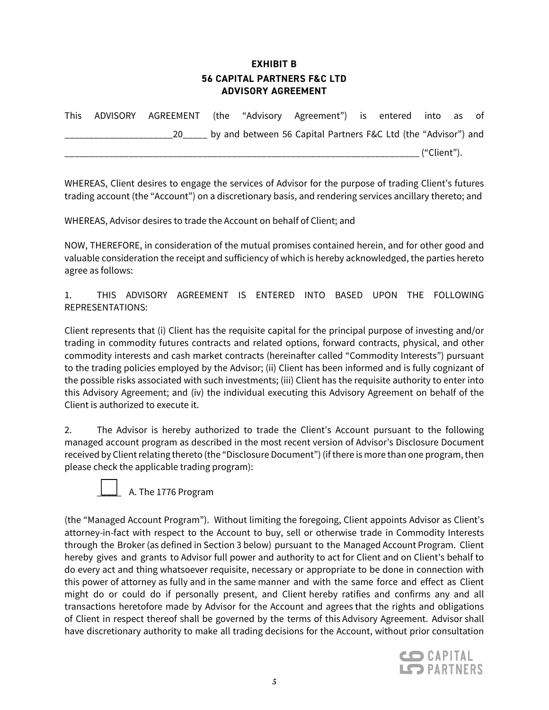# **EXHIBIT B 56 CAPITAL PARTNERS F&C LTD ADVISORY AGREEMENT**

| <b>This</b> | ADVISORY AGREEMENT (the "Advisory Agreement") is entered into as of |                                                                   |  |             |  |
|-------------|---------------------------------------------------------------------|-------------------------------------------------------------------|--|-------------|--|
|             |                                                                     | 20 by and between 56 Capital Partners F&C Ltd (the "Advisor") and |  |             |  |
|             |                                                                     |                                                                   |  | ("Client"). |  |

WHEREAS, Client desires to engage the services of Advisor for the purpose of trading Client's futures trading account (the "Account") on a discretionary basis, and rendering services ancillary thereto; and

WHEREAS, Advisor desires to trade the Account on behalf of Client; and

NOW, THEREFORE, in consideration of the mutual promises contained herein, and for other good and valuable consideration the receipt and sufficiency of which is hereby acknowledged, the parties hereto agree as follows:

1. THIS ADVISORY AGREEMENT IS ENTERED INTO BASED UPON THE FOLLOWING REPRESENTATIONS:

Client represents that (i) Client has the requisite capital for the principal purpose of investing and/or trading in commodity futures contracts and related options, forward contracts, physical, and other commodity interests and cash market contracts (hereinafter called "Commodity Interests") pursuant to the trading policies employed by the Advisor; (ii) Client has been informed and is fully cognizant of the possible risks associated with such investments; (iii) Client has the requisite authority to enter into this Advisory Agreement; and (iv) the individual executing this Advisory Agreement on behalf of the Client is authorized to execute it.

2. The Advisor is hereby authorized to trade the Client's Account pursuant to the following managed account program as described in the most recent version of Advisor's Disclosure Document received by Client relating thereto (the "Disclosure Document") (if there is more than one program, then please check the applicable trading program):



(the "Managed Account Program"). Without limiting the foregoing, Client appoints Advisor as Client's attorney-in-fact with respect to the Account to buy, sell or otherwise trade in Commodity Interests through the Broker (as defined in Section 3 below) pursuant to the Managed Account Program. Client hereby gives and grants to Advisor full power and authority to act for Client and on Client's behalf to do every act and thing whatsoever requisite, necessary or appropriate to be done in connection with this power of attorney as fully and in the same manner and with the same force and effect as Client might do or could do if personally present, and Client hereby ratifies and confirms any and all transactions heretofore made by Advisor for the Account and agrees that the rights and obligations of Client in respect thereof shall be governed by the terms of this Advisory Agreement. Advisor shall have discretionary authority to make all trading decisions for the Account, without prior consultation

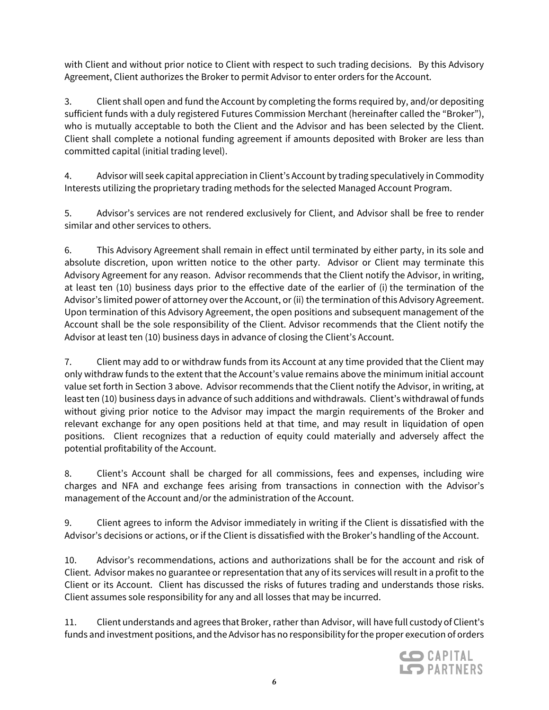with Client and without prior notice to Client with respect to such trading decisions. By this Advisory Agreement, Client authorizes the Broker to permit Advisor to enter orders for the Account.

3. Client shall open and fund the Account by completing the forms required by, and/or depositing sufficient funds with a duly registered Futures Commission Merchant (hereinafter called the "Broker"), who is mutually acceptable to both the Client and the Advisor and has been selected by the Client. Client shall complete a notional funding agreement if amounts deposited with Broker are less than committed capital (initial trading level).

4. Advisor will seek capital appreciation in Client's Account by trading speculatively in Commodity Interests utilizing the proprietary trading methods for the selected Managed Account Program.

5. Advisor's services are not rendered exclusively for Client, and Advisor shall be free to render similar and other services to others.

6. This Advisory Agreement shall remain in effect until terminated by either party, in its sole and absolute discretion, upon written notice to the other party. Advisor or Client may terminate this Advisory Agreement for any reason. Advisor recommends that the Client notify the Advisor, in writing, at least ten (10) business days prior to the effective date of the earlier of (i) the termination of the Advisor's limited power of attorney over the Account, or (ii) the termination of this Advisory Agreement. Upon termination of this Advisory Agreement, the open positions and subsequent management of the Account shall be the sole responsibility of the Client. Advisor recommends that the Client notify the Advisor at least ten (10) business days in advance of closing the Client's Account.

7. Client may add to or withdraw funds from its Account at any time provided that the Client may only withdraw funds to the extent that the Account's value remains above the minimum initial account value set forth in Section 3 above. Advisor recommends that the Client notify the Advisor, in writing, at least ten (10) business days in advance of such additions and withdrawals. Client's withdrawal of funds without giving prior notice to the Advisor may impact the margin requirements of the Broker and relevant exchange for any open positions held at that time, and may result in liquidation of open positions. Client recognizes that a reduction of equity could materially and adversely affect the potential profitability of the Account.

8. Client's Account shall be charged for all commissions, fees and expenses, including wire charges and NFA and exchange fees arising from transactions in connection with the Advisor's management of the Account and/or the administration of the Account.

9. Client agrees to inform the Advisor immediately in writing if the Client is dissatisfied with the Advisor's decisions or actions, or if the Client is dissatisfied with the Broker's handling of the Account.

10. Advisor's recommendations, actions and authorizations shall be for the account and risk of Client. Advisor makes no guarantee or representation that any of its services will result in a profit to the Client or its Account. Client has discussed the risks of futures trading and understands those risks. Client assumes sole responsibility for any and all losses that may be incurred.

11. Client understands and agrees that Broker, rather than Advisor, will have full custody of Client's funds and investment positions, and the Advisor has no responsibility for the proper execution of orders

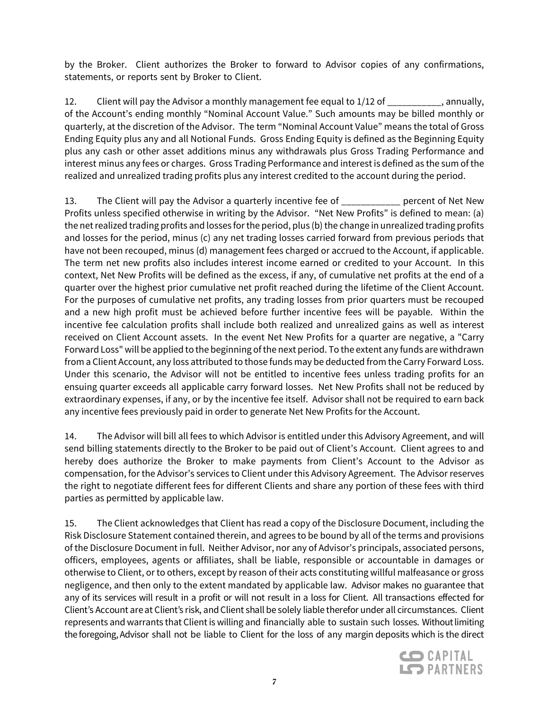by the Broker. Client authorizes the Broker to forward to Advisor copies of any confirmations, statements, or reports sent by Broker to Client.

12. Client will pay the Advisor a monthly management fee equal to 1/12 of \_\_\_\_\_\_\_\_\_\_\_, annually, of the Account's ending monthly "Nominal Account Value." Such amounts may be billed monthly or quarterly, at the discretion of the Advisor. The term "Nominal Account Value" means the total of Gross Ending Equity plus any and all Notional Funds. Gross Ending Equity is defined as the Beginning Equity plus any cash or other asset additions minus any withdrawals plus Gross Trading Performance and interest minus any fees or charges. Gross Trading Performance and interest is defined as the sum of the realized and unrealized trading profits plus any interest credited to the account during the period.

13. The Client will pay the Advisor a quarterly incentive fee of \_\_\_\_\_\_\_\_\_\_\_\_ percent of Net New Profits unless specified otherwise in writing by the Advisor. "Net New Profits" is defined to mean: (a) the net realized trading profits and losses for the period, plus (b) the change in unrealized trading profits and losses for the period, minus (c) any net trading losses carried forward from previous periods that have not been recouped, minus (d) management fees charged or accrued to the Account, if applicable. The term net new profits also includes interest income earned or credited to your Account. In this context, Net New Profits will be defined as the excess, if any, of cumulative net profits at the end of a quarter over the highest prior cumulative net profit reached during the lifetime of the Client Account. For the purposes of cumulative net profits, any trading losses from prior quarters must be recouped and a new high profit must be achieved before further incentive fees will be payable. Within the incentive fee calculation profits shall include both realized and unrealized gains as well as interest received on Client Account assets. In the event Net New Profits for a quarter are negative, a "Carry Forward Loss" will be applied to the beginning of the next period. To the extent any funds are withdrawn from a Client Account, any loss attributed to those funds may be deducted from the Carry Forward Loss. Under this scenario, the Advisor will not be entitled to incentive fees unless trading profits for an ensuing quarter exceeds all applicable carry forward losses. Net New Profits shall not be reduced by extraordinary expenses, if any, or by the incentive fee itself. Advisor shall not be required to earn back any incentive fees previously paid in order to generate Net New Profits for the Account.

14. The Advisor will bill all fees to which Advisor is entitled under this Advisory Agreement, and will send billing statements directly to the Broker to be paid out of Client's Account. Client agrees to and hereby does authorize the Broker to make payments from Client's Account to the Advisor as compensation, for the Advisor's services to Client under this Advisory Agreement. The Advisor reserves the right to negotiate different fees for different Clients and share any portion of these fees with third parties as permitted by applicable law.

15. The Client acknowledges that Client has read a copy of the Disclosure Document, including the Risk Disclosure Statement contained therein, and agrees to be bound by all of the terms and provisions of the Disclosure Document in full. Neither Advisor, nor any of Advisor's principals, associated persons, officers, employees, agents or affiliates, shall be liable, responsible or accountable in damages or otherwise to Client, or to others, except by reason of their acts constituting willful malfeasance or gross negligence, and then only to the extent mandated by applicable law. Advisor makes no guarantee that any of its services will result in a profit or will not result in a loss for Client. All transactions effected for Client's Account are at Client's risk, and Client shall be solely liable therefor under all circumstances. Client represents and warrants that Client is willing and financially able to sustain such losses. Without limiting the foregoing, Advisor shall not be liable to Client for the loss of any margin deposits which is the direct

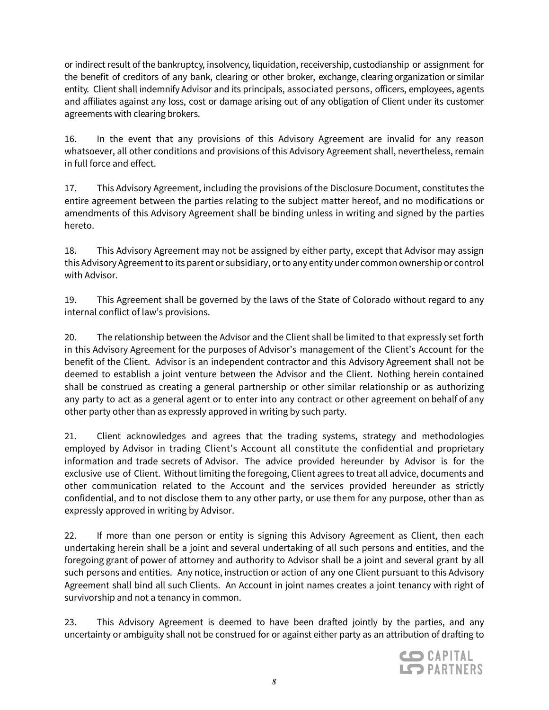or indirect result of the bankruptcy, insolvency, liquidation, receivership, custodianship or assignment for the benefit of creditors of any bank, clearing or other broker, exchange, clearing organization or similar entity. Client shall indemnify Advisor and its principals, associated persons, officers, employees, agents and affiliates against any loss, cost or damage arising out of any obligation of Client under its customer agreements with clearing brokers.

16. In the event that any provisions of this Advisory Agreement are invalid for any reason whatsoever, all other conditions and provisions of this Advisory Agreement shall, nevertheless, remain in full force and effect.

17. This Advisory Agreement, including the provisions of the Disclosure Document, constitutes the entire agreement between the parties relating to the subject matter hereof, and no modifications or amendments of this Advisory Agreement shall be binding unless in writing and signed by the parties hereto.

18. This Advisory Agreement may not be assigned by either party, except that Advisor may assign this Advisory Agreement to its parent or subsidiary, or to any entity under common ownership or control with Advisor.

19. This Agreement shall be governed by the laws of the State of Colorado without regard to any internal conflict of law's provisions.

20. The relationship between the Advisor and the Client shall be limited to that expressly set forth in this Advisory Agreement for the purposes of Advisor's management of the Client's Account for the benefit of the Client. Advisor is an independent contractor and this Advisory Agreement shall not be deemed to establish a joint venture between the Advisor and the Client. Nothing herein contained shall be construed as creating a general partnership or other similar relationship or as authorizing any party to act as a general agent or to enter into any contract or other agreement on behalf of any other party other than as expressly approved in writing by such party.

21. Client acknowledges and agrees that the trading systems, strategy and methodologies employed by Advisor in trading Client's Account all constitute the confidential and proprietary information and trade secrets of Advisor. The advice provided hereunder by Advisor is for the exclusive use of Client. Without limiting the foregoing, Client agrees to treat all advice, documents and other communication related to the Account and the services provided hereunder as strictly confidential, and to not disclose them to any other party, or use them for any purpose, other than as expressly approved in writing by Advisor.

22. If more than one person or entity is signing this Advisory Agreement as Client, then each undertaking herein shall be a joint and several undertaking of all such persons and entities, and the foregoing grant of power of attorney and authority to Advisor shall be a joint and several grant by all such persons and entities. Any notice, instruction or action of any one Client pursuant to this Advisory Agreement shall bind all such Clients. An Account in joint names creates a joint tenancy with right of survivorship and not a tenancy in common.

23. This Advisory Agreement is deemed to have been drafted jointly by the parties, and any uncertainty or ambiguity shall not be construed for or against either party as an attribution of drafting to

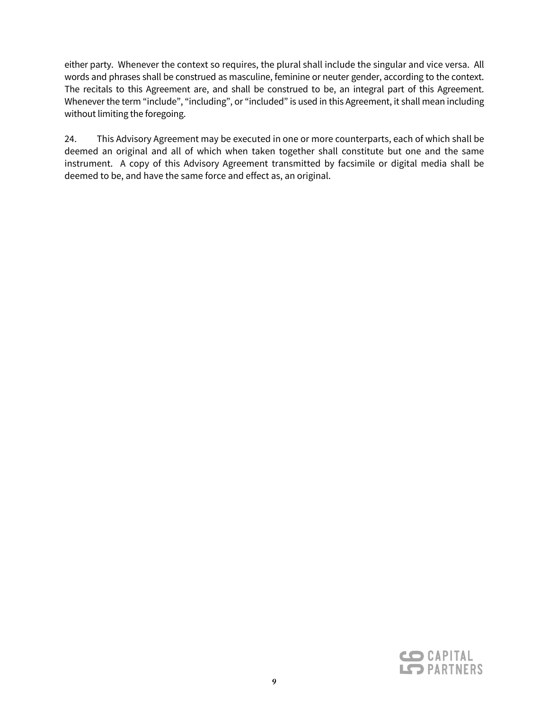either party. Whenever the context so requires, the plural shall include the singular and vice versa. All words and phrases shall be construed as masculine, feminine or neuter gender, according to the context. The recitals to this Agreement are, and shall be construed to be, an integral part of this Agreement. Whenever the term "include", "including", or "included" is used in this Agreement, it shall mean including without limiting the foregoing.

24. This Advisory Agreement may be executed in one or more counterparts, each of which shall be deemed an original and all of which when taken together shall constitute but one and the same instrument. A copy of this Advisory Agreement transmitted by facsimile or digital media shall be deemed to be, and have the same force and effect as, an original.

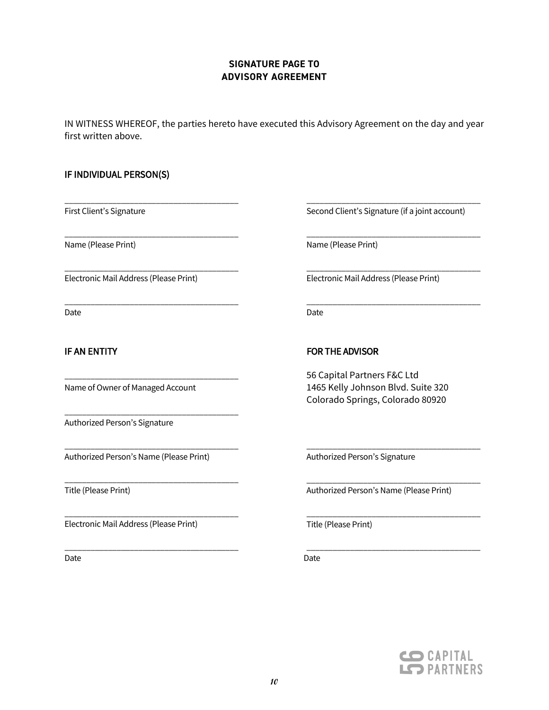# **SIGNATURE PAGE TO ADVISORY AGREEMENT**

IN WITNESS WHEREOF, the parties hereto have executed this Advisory Agreement on the day and year first written above.

#### IF INDIVIDUAL PERSON(S)

First Client's Signature

Name (Please Print)

Electronic Mail Address (Please Print)

\_\_\_\_\_\_\_\_\_\_\_\_\_\_\_\_\_\_\_\_\_\_\_\_\_\_\_\_\_\_\_\_\_\_\_\_\_\_\_\_

\_\_\_\_\_\_\_\_\_\_\_\_\_\_\_\_\_\_\_\_\_\_\_\_\_\_\_\_\_\_\_\_\_\_\_\_\_\_\_\_

\_\_\_\_\_\_\_\_\_\_\_\_\_\_\_\_\_\_\_\_\_\_\_\_\_\_\_\_\_\_\_\_\_\_\_\_\_\_\_\_

\_\_\_\_\_\_\_\_\_\_\_\_\_\_\_\_\_\_\_\_\_\_\_\_\_\_\_\_\_\_\_\_\_\_\_\_\_\_\_\_

\_\_\_\_\_\_\_\_\_\_\_\_\_\_\_\_\_\_\_\_\_\_\_\_\_\_\_\_\_\_\_\_\_\_\_\_\_\_\_\_

\_\_\_\_\_\_\_\_\_\_\_\_\_\_\_\_\_\_\_\_\_\_\_\_\_\_\_\_\_\_\_\_\_\_\_\_\_\_\_\_

\_\_\_\_\_\_\_\_\_\_\_\_\_\_\_\_\_\_\_\_\_\_\_\_\_\_\_\_\_\_\_\_\_\_\_\_\_\_\_\_

\_\_\_\_\_\_\_\_\_\_\_\_\_\_\_\_\_\_\_\_\_\_\_\_\_\_\_\_\_\_\_\_\_\_\_\_\_\_\_\_

\_\_\_\_\_\_\_\_\_\_\_\_\_\_\_\_\_\_\_\_\_\_\_\_\_\_\_\_\_\_\_\_\_\_\_\_\_\_\_\_

Date

# IF AN ENTITY

Name of Owner of Managed Account

Authorized Person's Signature

Authorized Person's Name (Please Print)

Title (Please Print)

Electronic Mail Address (Please Print)

Date **Date Date Date Date Date Date Date Date Date** 

Second Client's Signature (if a joint account)

\_\_\_\_\_\_\_\_\_\_\_\_\_\_\_\_\_\_\_\_\_\_\_\_\_\_\_\_\_\_\_\_\_\_\_\_\_\_\_\_

\_\_\_\_\_\_\_\_\_\_\_\_\_\_\_\_\_\_\_\_\_\_\_\_\_\_\_\_\_\_\_\_\_\_\_\_\_\_\_\_

\_\_\_\_\_\_\_\_\_\_\_\_\_\_\_\_\_\_\_\_\_\_\_\_\_\_\_\_\_\_\_\_\_\_\_\_\_\_\_\_

\_\_\_\_\_\_\_\_\_\_\_\_\_\_\_\_\_\_\_\_\_\_\_\_\_\_\_\_\_\_\_\_\_\_\_\_\_\_\_\_

Name (Please Print)

Electronic Mail Address (Please Print)

Date

# FOR THE ADVISOR

56 Capital Partners F&C Ltd 1465 Kelly Johnson Blvd. Suite 320 Colorado Springs, Colorado 80920

Authorized Person's Signature

Authorized Person's Name (Please Print)

\_\_\_\_\_\_\_\_\_\_\_\_\_\_\_\_\_\_\_\_\_\_\_\_\_\_\_\_\_\_\_\_\_\_\_\_\_\_\_\_

\_\_\_\_\_\_\_\_\_\_\_\_\_\_\_\_\_\_\_\_\_\_\_\_\_\_\_\_\_\_\_\_\_\_\_\_\_\_\_\_

\_\_\_\_\_\_\_\_\_\_\_\_\_\_\_\_\_\_\_\_\_\_\_\_\_\_\_\_\_\_\_\_\_\_\_\_\_\_\_\_

Title (Please Print)



\_\_\_\_\_\_\_\_\_\_\_\_\_\_\_\_\_\_\_\_\_\_\_\_\_\_\_\_\_\_\_\_\_\_\_\_\_\_\_\_ \_\_\_\_\_\_\_\_\_\_\_\_\_\_\_\_\_\_\_\_\_\_\_\_\_\_\_\_\_\_\_\_\_\_\_\_\_\_\_\_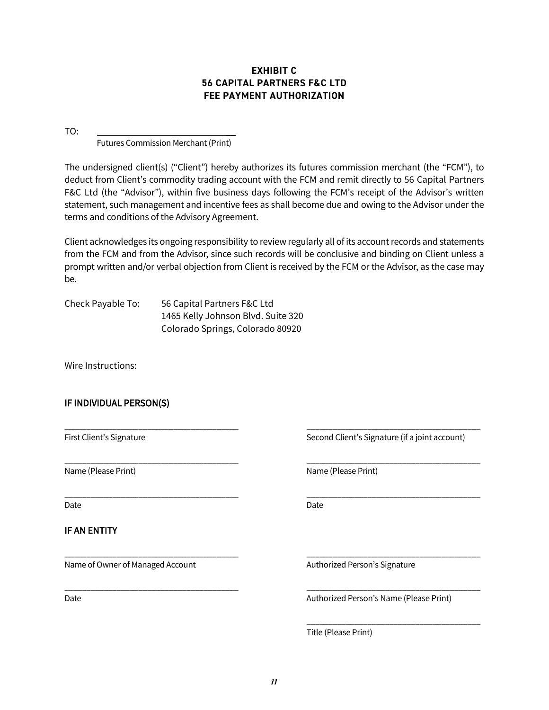# **EXHIBIT C 56 CAPITAL PARTNERS F&C LTD FEE PAYMENT AUTHORIZATION**

TO: \_\_

Futures Commission Merchant (Print)

The undersigned client(s) ("Client") hereby authorizes its futures commission merchant (the "FCM"), to deduct from Client's commodity trading account with the FCM and remit directly to 56 Capital Partners F&C Ltd (the "Advisor"), within five business days following the FCM's receipt of the Advisor's written statement, such management and incentive fees as shall become due and owing to the Advisor under the terms and conditions of the Advisory Agreement.

Client acknowledges its ongoing responsibility to review regularly all of its account records and statements from the FCM and from the Advisor, since such records will be conclusive and binding on Client unless a prompt written and/or verbal objection from Client is received by the FCM or the Advisor, as the case may be.

\_\_\_\_\_\_\_\_\_\_\_\_\_\_\_\_\_\_\_\_\_\_\_\_\_\_\_\_\_\_\_\_\_\_\_\_\_\_\_\_ \_\_\_\_\_\_\_\_\_\_\_\_\_\_\_\_\_\_\_\_\_\_\_\_\_\_\_\_\_\_\_\_\_\_\_\_\_\_\_\_

\_\_\_\_\_\_\_\_\_\_\_\_\_\_\_\_\_\_\_\_\_\_\_\_\_\_\_\_\_\_\_\_\_\_\_\_\_\_\_\_ \_\_\_\_\_\_\_\_\_\_\_\_\_\_\_\_\_\_\_\_\_\_\_\_\_\_\_\_\_\_\_\_\_\_\_\_\_\_\_\_

\_\_\_\_\_\_\_\_\_\_\_\_\_\_\_\_\_\_\_\_\_\_\_\_\_\_\_\_\_\_\_\_\_\_\_\_\_\_\_\_ \_\_\_\_\_\_\_\_\_\_\_\_\_\_\_\_\_\_\_\_\_\_\_\_\_\_\_\_\_\_\_\_\_\_\_\_\_\_\_\_

\_\_\_\_\_\_\_\_\_\_\_\_\_\_\_\_\_\_\_\_\_\_\_\_\_\_\_\_\_\_\_\_\_\_\_\_\_\_\_\_ \_\_\_\_\_\_\_\_\_\_\_\_\_\_\_\_\_\_\_\_\_\_\_\_\_\_\_\_\_\_\_\_\_\_\_\_\_\_\_\_

\_\_\_\_\_\_\_\_\_\_\_\_\_\_\_\_\_\_\_\_\_\_\_\_\_\_\_\_\_\_\_\_\_\_\_\_\_\_\_\_ \_\_\_\_\_\_\_\_\_\_\_\_\_\_\_\_\_\_\_\_\_\_\_\_\_\_\_\_\_\_\_\_\_\_\_\_\_\_\_\_

| Check Payable To: | 56 Capital Partners F&C Ltd        |  |  |  |
|-------------------|------------------------------------|--|--|--|
|                   | 1465 Kelly Johnson Blvd. Suite 320 |  |  |  |
|                   | Colorado Springs, Colorado 80920   |  |  |  |

Wire Instructions:

# IF INDIVIDUAL PERSON(S)

Name (Please Print) Name (Please Print)

Date **Date Date Date Date Date Date Date Date Date** 

#### IF AN ENTITY

Name of Owner of Managed Account Authorized Person's Signature

First Client's Signature Superior Second Client's Signature (if a joint account)

Date **Date Authorized Person's Name (Please Print)** Authorized Person's Name (Please Print)

\_\_\_\_\_\_\_\_\_\_\_\_\_\_\_\_\_\_\_\_\_\_\_\_\_\_\_\_\_\_\_\_\_\_\_\_\_\_\_\_

Title (Please Print)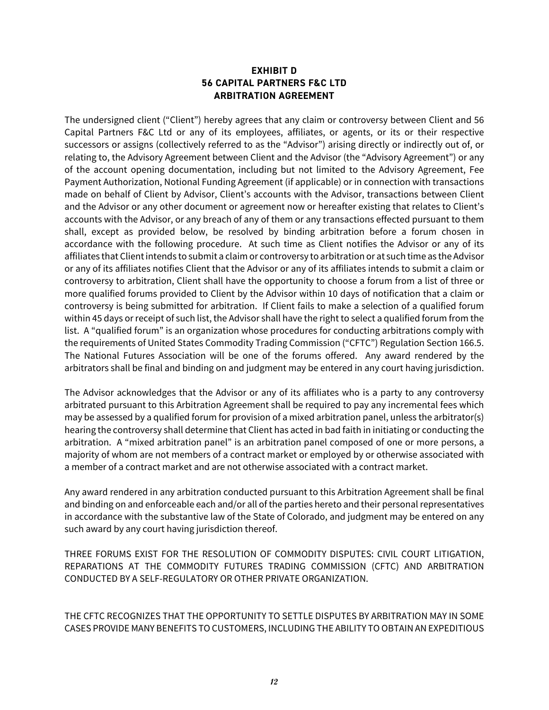# **EXHIBIT D 56 CAPITAL PARTNERS F&C LTD ARBITRATION AGREEMENT**

The undersigned client ("Client") hereby agrees that any claim or controversy between Client and 56 Capital Partners F&C Ltd or any of its employees, affiliates, or agents, or its or their respective successors or assigns (collectively referred to as the "Advisor") arising directly or indirectly out of, or relating to, the Advisory Agreement between Client and the Advisor (the "Advisory Agreement") or any of the account opening documentation, including but not limited to the Advisory Agreement, Fee Payment Authorization, Notional Funding Agreement (if applicable) or in connection with transactions made on behalf of Client by Advisor, Client's accounts with the Advisor, transactions between Client and the Advisor or any other document or agreement now or hereafter existing that relates to Client's accounts with the Advisor, or any breach of any of them or any transactions effected pursuant to them shall, except as provided below, be resolved by binding arbitration before a forum chosen in accordance with the following procedure. At such time as Client notifies the Advisor or any of its affiliates that Client intends to submit a claim or controversy to arbitration or at such time as the Advisor or any of its affiliates notifies Client that the Advisor or any of its affiliates intends to submit a claim or controversy to arbitration, Client shall have the opportunity to choose a forum from a list of three or more qualified forums provided to Client by the Advisor within 10 days of notification that a claim or controversy is being submitted for arbitration. If Client fails to make a selection of a qualified forum within 45 days or receipt of such list, the Advisor shall have the right to select a qualified forum from the list. A "qualified forum" is an organization whose procedures for conducting arbitrations comply with the requirements of United States Commodity Trading Commission ("CFTC") Regulation Section 166.5. The National Futures Association will be one of the forums offered. Any award rendered by the arbitrators shall be final and binding on and judgment may be entered in any court having jurisdiction.

The Advisor acknowledges that the Advisor or any of its affiliates who is a party to any controversy arbitrated pursuant to this Arbitration Agreement shall be required to pay any incremental fees which may be assessed by a qualified forum for provision of a mixed arbitration panel, unless the arbitrator(s) hearing the controversy shall determine that Client has acted in bad faith in initiating or conducting the arbitration. A "mixed arbitration panel" is an arbitration panel composed of one or more persons, a majority of whom are not members of a contract market or employed by or otherwise associated with a member of a contract market and are not otherwise associated with a contract market.

Any award rendered in any arbitration conducted pursuant to this Arbitration Agreement shall be final and binding on and enforceable each and/or all of the parties hereto and their personal representatives in accordance with the substantive law of the State of Colorado, and judgment may be entered on any such award by any court having jurisdiction thereof.

THREE FORUMS EXIST FOR THE RESOLUTION OF COMMODITY DISPUTES: CIVIL COURT LITIGATION, REPARATIONS AT THE COMMODITY FUTURES TRADING COMMISSION (CFTC) AND ARBITRATION CONDUCTED BY A SELF-REGULATORY OR OTHER PRIVATE ORGANIZATION.

THE CFTC RECOGNIZES THAT THE OPPORTUNITY TO SETTLE DISPUTES BY ARBITRATION MAY IN SOME CASES PROVIDE MANY BENEFITS TO CUSTOMERS, INCLUDING THE ABILITY TO OBTAIN AN EXPEDITIOUS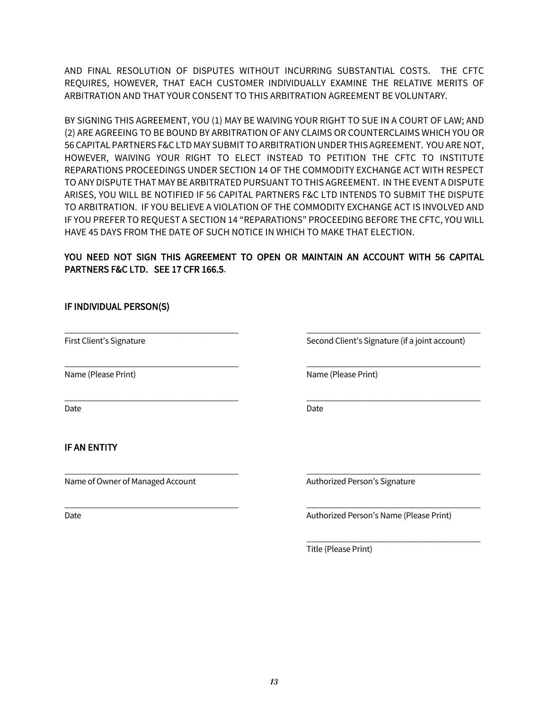AND FINAL RESOLUTION OF DISPUTES WITHOUT INCURRING SUBSTANTIAL COSTS. THE CFTC REQUIRES, HOWEVER, THAT EACH CUSTOMER INDIVIDUALLY EXAMINE THE RELATIVE MERITS OF ARBITRATION AND THAT YOUR CONSENT TO THIS ARBITRATION AGREEMENT BE VOLUNTARY.

BY SIGNING THIS AGREEMENT, YOU (1) MAY BE WAIVING YOUR RIGHT TO SUE IN A COURT OF LAW; AND (2) ARE AGREEING TO BE BOUND BY ARBITRATION OF ANY CLAIMS OR COUNTERCLAIMS WHICH YOU OR 56 CAPITAL PARTNERS F&C LTD MAY SUBMIT TO ARBITRATION UNDER THIS AGREEMENT. YOU ARE NOT, HOWEVER, WAIVING YOUR RIGHT TO ELECT INSTEAD TO PETITION THE CFTC TO INSTITUTE REPARATIONS PROCEEDINGS UNDER SECTION 14 OF THE COMMODITY EXCHANGE ACT WITH RESPECT TO ANY DISPUTE THAT MAY BE ARBITRATED PURSUANT TO THIS AGREEMENT. IN THE EVENT A DISPUTE ARISES, YOU WILL BE NOTIFIED IF 56 CAPITAL PARTNERS F&C LTD INTENDS TO SUBMIT THE DISPUTE TO ARBITRATION. IF YOU BELIEVE A VIOLATION OF THE COMMODITY EXCHANGE ACT IS INVOLVED AND IF YOU PREFER TO REQUEST A SECTION 14 "REPARATIONS" PROCEEDING BEFORE THE CFTC, YOU WILL HAVE 45 DAYS FROM THE DATE OF SUCH NOTICE IN WHICH TO MAKE THAT ELECTION.

# YOU NEED NOT SIGN THIS AGREEMENT TO OPEN OR MAINTAIN AN ACCOUNT WITH 56 CAPITAL PARTNERS F&C LTD. SEE 17 CFR 166.5.

\_\_\_\_\_\_\_\_\_\_\_\_\_\_\_\_\_\_\_\_\_\_\_\_\_\_\_\_\_\_\_\_\_\_\_\_\_\_\_\_ \_\_\_\_\_\_\_\_\_\_\_\_\_\_\_\_\_\_\_\_\_\_\_\_\_\_\_\_\_\_\_\_\_\_\_\_\_\_\_\_

\_\_\_\_\_\_\_\_\_\_\_\_\_\_\_\_\_\_\_\_\_\_\_\_\_\_\_\_\_\_\_\_\_\_\_\_\_\_\_\_ \_\_\_\_\_\_\_\_\_\_\_\_\_\_\_\_\_\_\_\_\_\_\_\_\_\_\_\_\_\_\_\_\_\_\_\_\_\_\_\_

\_\_\_\_\_\_\_\_\_\_\_\_\_\_\_\_\_\_\_\_\_\_\_\_\_\_\_\_\_\_\_\_\_\_\_\_\_\_\_\_ \_\_\_\_\_\_\_\_\_\_\_\_\_\_\_\_\_\_\_\_\_\_\_\_\_\_\_\_\_\_\_\_\_\_\_\_\_\_\_\_

\_\_\_\_\_\_\_\_\_\_\_\_\_\_\_\_\_\_\_\_\_\_\_\_\_\_\_\_\_\_\_\_\_\_\_\_\_\_\_\_ \_\_\_\_\_\_\_\_\_\_\_\_\_\_\_\_\_\_\_\_\_\_\_\_\_\_\_\_\_\_\_\_\_\_\_\_\_\_\_\_

# IF INDIVIDUAL PERSON(S)

First Client's Signature Superior Second Client's Signature (if a joint account)

Name (Please Print) Name (Please Print)

Date **Date Date Date Date Date Date Date Date** 

# IF AN ENTITY

Name of Owner of Managed Account Authorized Person's Signature

\_\_\_\_\_\_\_\_\_\_\_\_\_\_\_\_\_\_\_\_\_\_\_\_\_\_\_\_\_\_\_\_\_\_\_\_\_\_\_\_ \_\_\_\_\_\_\_\_\_\_\_\_\_\_\_\_\_\_\_\_\_\_\_\_\_\_\_\_\_\_\_\_\_\_\_\_\_\_\_\_

Date **Date Authorized Person's Name (Please Print)** Authorized Person's Name (Please Print)

\_\_\_\_\_\_\_\_\_\_\_\_\_\_\_\_\_\_\_\_\_\_\_\_\_\_\_\_\_\_\_\_\_\_\_\_\_\_\_\_ Title (Please Print)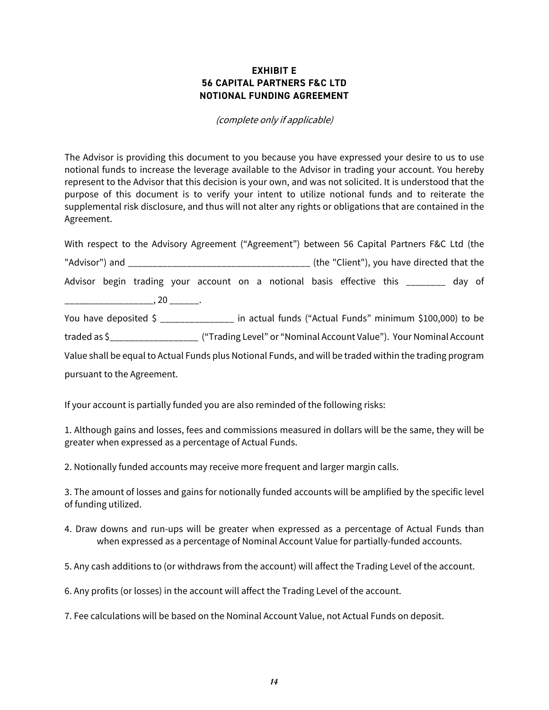# **EXHIBIT E 56 CAPITAL PARTNERS F&C LTD NOTIONAL FUNDING AGREEMENT**

#### (complete only if applicable)

The Advisor is providing this document to you because you have expressed your desire to us to use notional funds to increase the leverage available to the Advisor in trading your account. You hereby represent to the Advisor that this decision is your own, and was not solicited. It is understood that the purpose of this document is to verify your intent to utilize notional funds and to reiterate the supplemental risk disclosure, and thus will not alter any rights or obligations that are contained in the Agreement.

With respect to the Advisory Agreement ("Agreement") between 56 Capital Partners F&C Ltd (the "Advisor") and \_\_\_\_\_\_\_\_\_\_\_\_\_\_\_\_\_\_\_\_\_\_\_\_\_\_\_\_\_\_\_\_\_\_\_\_\_ (the "Client"), you have directed that the Advisor begin trading your account on a notional basis effective this \_\_\_\_\_\_\_\_ day of  $\overline{\phantom{a}}$ , 20  $\overline{\phantom{a}}$ . You have deposited \$ \_\_\_\_\_\_\_\_\_\_\_\_\_\_\_ in actual funds ("Actual Funds" minimum \$100,000) to be traded as \$\_\_\_\_\_\_\_\_\_\_\_\_\_\_\_\_\_\_ ("Trading Level" or "Nominal Account Value"). Your Nominal Account Value shall be equal to Actual Funds plus Notional Funds, and will be traded within the trading program

pursuant to the Agreement.

If your account is partially funded you are also reminded of the following risks:

1. Although gains and losses, fees and commissions measured in dollars will be the same, they will be greater when expressed as a percentage of Actual Funds.

2. Notionally funded accounts may receive more frequent and larger margin calls.

3. The amount of losses and gains for notionally funded accounts will be amplified by the specific level of funding utilized.

- 4. Draw downs and run-ups will be greater when expressed as a percentage of Actual Funds than when expressed as a percentage of Nominal Account Value for partially-funded accounts.
- 5. Any cash additions to (or withdraws from the account) will affect the Trading Level of the account.

6. Any profits (or losses) in the account will affect the Trading Level of the account.

7. Fee calculations will be based on the Nominal Account Value, not Actual Funds on deposit.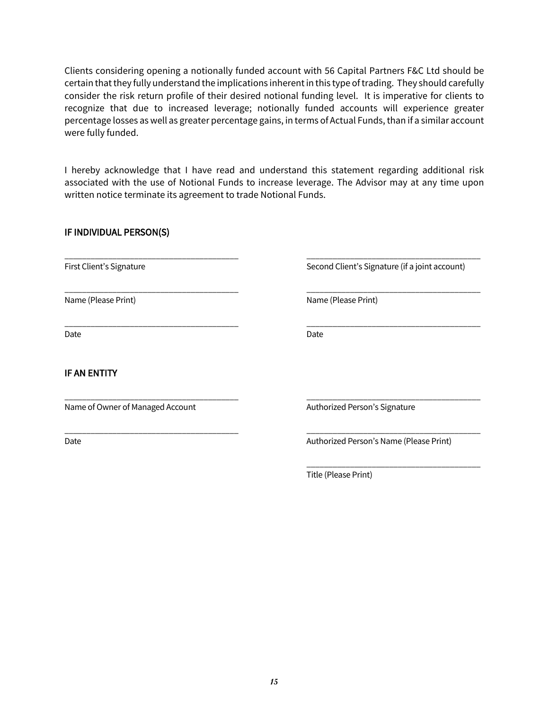Clients considering opening a notionally funded account with 56 Capital Partners F&C Ltd should be certain that they fully understand the implications inherent in this type of trading. They should carefully consider the risk return profile of their desired notional funding level. It is imperative for clients to recognize that due to increased leverage; notionally funded accounts will experience greater percentage losses as well as greater percentage gains, in terms of Actual Funds, than if a similar account were fully funded.

I hereby acknowledge that I have read and understand this statement regarding additional risk associated with the use of Notional Funds to increase leverage. The Advisor may at any time upon written notice terminate its agreement to trade Notional Funds.

\_\_\_\_\_\_\_\_\_\_\_\_\_\_\_\_\_\_\_\_\_\_\_\_\_\_\_\_\_\_\_\_\_\_\_\_\_\_\_\_ \_\_\_\_\_\_\_\_\_\_\_\_\_\_\_\_\_\_\_\_\_\_\_\_\_\_\_\_\_\_\_\_\_\_\_\_\_\_\_\_

\_\_\_\_\_\_\_\_\_\_\_\_\_\_\_\_\_\_\_\_\_\_\_\_\_\_\_\_\_\_\_\_\_\_\_\_\_\_\_\_ \_\_\_\_\_\_\_\_\_\_\_\_\_\_\_\_\_\_\_\_\_\_\_\_\_\_\_\_\_\_\_\_\_\_\_\_\_\_\_\_

\_\_\_\_\_\_\_\_\_\_\_\_\_\_\_\_\_\_\_\_\_\_\_\_\_\_\_\_\_\_\_\_\_\_\_\_\_\_\_\_ \_\_\_\_\_\_\_\_\_\_\_\_\_\_\_\_\_\_\_\_\_\_\_\_\_\_\_\_\_\_\_\_\_\_\_\_\_\_\_\_

# IF INDIVIDUAL PERSON(S)

Date **Date Date Date Date Date Date** 

# IF AN ENTITY

Name of Owner of Managed Account Authorized Person's Signature

First Client's Signature Second Client's Signature (if a joint account)

Name (Please Print) Name (Please Print)

\_\_\_\_\_\_\_\_\_\_\_\_\_\_\_\_\_\_\_\_\_\_\_\_\_\_\_\_\_\_\_\_\_\_\_\_\_\_\_\_ \_\_\_\_\_\_\_\_\_\_\_\_\_\_\_\_\_\_\_\_\_\_\_\_\_\_\_\_\_\_\_\_\_\_\_\_\_\_\_\_

\_\_\_\_\_\_\_\_\_\_\_\_\_\_\_\_\_\_\_\_\_\_\_\_\_\_\_\_\_\_\_\_\_\_\_\_\_\_\_\_ \_\_\_\_\_\_\_\_\_\_\_\_\_\_\_\_\_\_\_\_\_\_\_\_\_\_\_\_\_\_\_\_\_\_\_\_\_\_\_\_

Date **Date Authorized Person's Name (Please Print)** Authorized Person's Name (Please Print)

\_\_\_\_\_\_\_\_\_\_\_\_\_\_\_\_\_\_\_\_\_\_\_\_\_\_\_\_\_\_\_\_\_\_\_\_\_\_\_\_ Title (Please Print)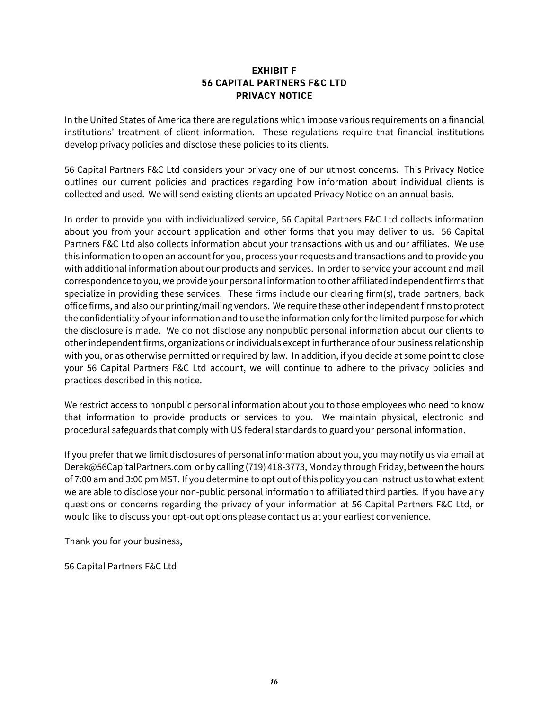# **EXHIBIT F 56 CAPITAL PARTNERS F&C LTD PRIVACY NOTICE**

In the United States of America there are regulations which impose various requirements on a financial institutions' treatment of client information. These regulations require that financial institutions develop privacy policies and disclose these policies to its clients.

56 Capital Partners F&C Ltd considers your privacy one of our utmost concerns. This Privacy Notice outlines our current policies and practices regarding how information about individual clients is collected and used. We will send existing clients an updated Privacy Notice on an annual basis.

In order to provide you with individualized service, 56 Capital Partners F&C Ltd collects information about you from your account application and other forms that you may deliver to us. 56 Capital Partners F&C Ltd also collects information about your transactions with us and our affiliates. We use this information to open an account for you, process your requests and transactions and to provide you with additional information about our products and services. In order to service your account and mail correspondence to you, we provide your personal information to other affiliated independent firms that specialize in providing these services. These firms include our clearing firm(s), trade partners, back office firms, and also our printing/mailing vendors. We require these other independent firms to protect the confidentiality of your information and to use the information only for the limited purpose for which the disclosure is made. We do not disclose any nonpublic personal information about our clients to other independent firms, organizations or individuals except in furtherance of our business relationship with you, or as otherwise permitted or required by law. In addition, if you decide at some point to close your 56 Capital Partners F&C Ltd account, we will continue to adhere to the privacy policies and practices described in this notice.

We restrict access to nonpublic personal information about you to those employees who need to know that information to provide products or services to you. We maintain physical, electronic and procedural safeguards that comply with US federal standards to guard your personal information.

If you prefer that we limit disclosures of personal information about you, you may notify us via email at Derek@56CapitalPartners.com or by calling (719) 418-3773, Monday through Friday, between the hours of 7:00 am and 3:00 pm MST. If you determine to opt out of this policy you can instruct us to what extent we are able to disclose your non-public personal information to affiliated third parties. If you have any questions or concerns regarding the privacy of your information at 56 Capital Partners F&C Ltd, or would like to discuss your opt-out options please contact us at your earliest convenience.

Thank you for your business,

56 Capital Partners F&C Ltd